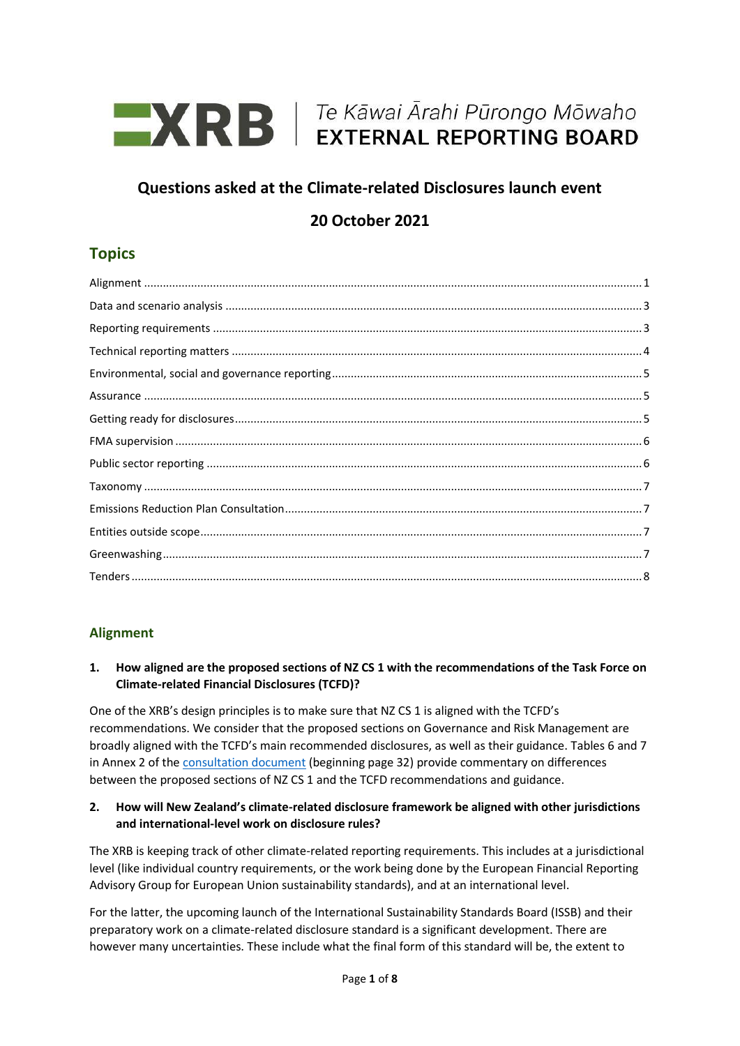

# **Questions asked at the Climate-related Disclosures launch event**

# **20 October 2021**

# **Topics**

# <span id="page-0-0"></span>**Alignment**

## **1. How aligned are the proposed sections of NZ CS 1 with the recommendations of the Task Force on Climate-related Financial Disclosures (TCFD)?**

One of the XRB's design principles is to make sure that NZ CS 1 is aligned with the TCFD's recommendations. We consider that the proposed sections on Governance and Risk Management are broadly aligned with the TCFD's main recommended disclosures, as well as their guidance. Tables 6 and 7 in Annex 2 of the [consultation document](https://www.xrb.govt.nz/extended-external-reporting/climate-related-disclosures/consultation-and-engagement/governance-and-risk-management-consultation-document/) (beginning page 32) provide commentary on differences between the proposed sections of NZ CS 1 and the TCFD recommendations and guidance.

### **2. How will New Zealand's climate-related disclosure framework be aligned with other jurisdictions and international-level work on disclosure rules?**

The XRB is keeping track of other climate-related reporting requirements. This includes at a jurisdictional level (like individual country requirements, or the work being done by the European Financial Reporting Advisory Group for European Union sustainability standards), and at an international level.

For the latter, the upcoming launch of the International Sustainability Standards Board (ISSB) and their preparatory work on a climate-related disclosure standard is a significant development. There are however many uncertainties. These include what the final form of this standard will be, the extent to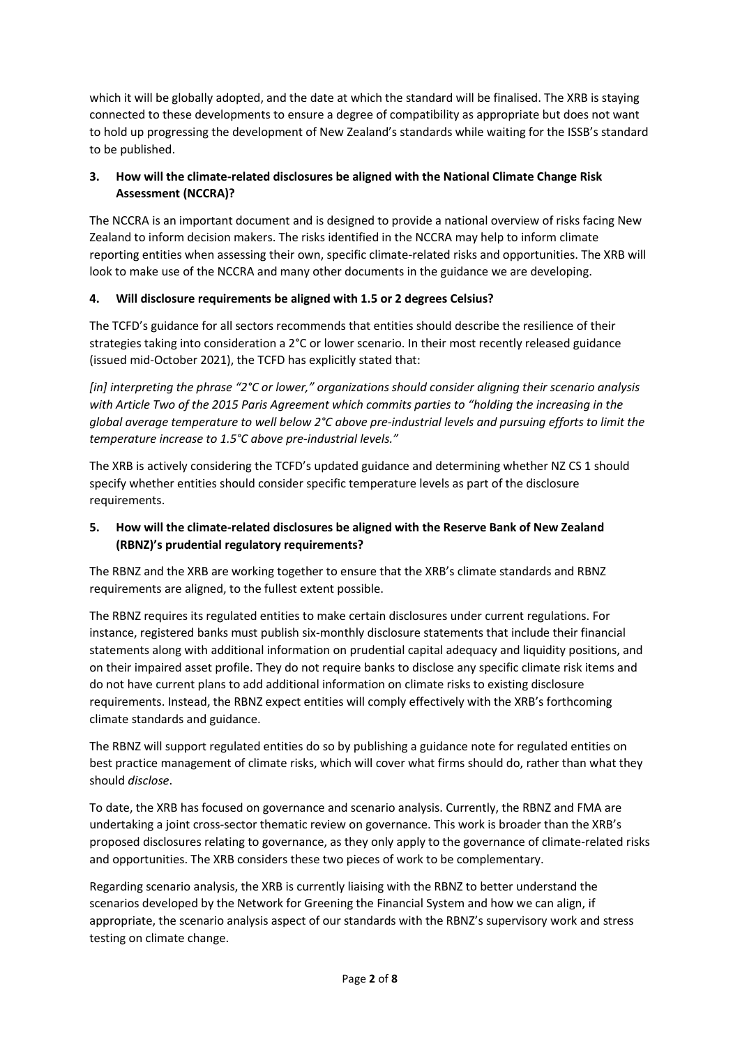which it will be globally adopted, and the date at which the standard will be finalised. The XRB is staying connected to these developments to ensure a degree of compatibility as appropriate but does not want to hold up progressing the development of New Zealand's standards while waiting for the ISSB's standard to be published.

# **3. How will the climate-related disclosures be aligned with the National Climate Change Risk Assessment (NCCRA)?**

The NCCRA is an important document and is designed to provide a national overview of risks facing New Zealand to inform decision makers. The risks identified in the NCCRA may help to inform climate reporting entities when assessing their own, specific climate-related risks and opportunities. The XRB will look to make use of the NCCRA and many other documents in the guidance we are developing.

## **4. Will disclosure requirements be aligned with 1.5 or 2 degrees Celsius?**

The TCFD's guidance for all sectors recommends that entities should describe the resilience of their strategies taking into consideration a 2°C or lower scenario. In their most recently released guidance (issued mid-October 2021), the TCFD has explicitly stated that:

*[in] interpreting the phrase "2°C or lower," organizations should consider aligning their scenario analysis with Article Two of the 2015 Paris Agreement which commits parties to "holding the increasing in the global average temperature to well below 2°C above pre-industrial levels and pursuing efforts to limit the temperature increase to 1.5°C above pre-industrial levels."*

The XRB is actively considering the TCFD's updated guidance and determining whether NZ CS 1 should specify whether entities should consider specific temperature levels as part of the disclosure requirements.

# **5. How will the climate-related disclosures be aligned with the Reserve Bank of New Zealand (RBNZ)'s prudential regulatory requirements?**

The RBNZ and the XRB are working together to ensure that the XRB's climate standards and RBNZ requirements are aligned, to the fullest extent possible.

The RBNZ requires its regulated entities to make certain disclosures under current regulations. For instance, registered banks must publish six-monthly disclosure statements that include their financial statements along with additional information on prudential capital adequacy and liquidity positions, and on their impaired asset profile. They do not require banks to disclose any specific climate risk items and do not have current plans to add additional information on climate risks to existing disclosure requirements. Instead, the RBNZ expect entities will comply effectively with the XRB's forthcoming climate standards and guidance.

The RBNZ will support regulated entities do so by publishing a guidance note for regulated entities on best practice management of climate risks, which will cover what firms should do, rather than what they should *disclose*.

To date, the XRB has focused on governance and scenario analysis. Currently, the RBNZ and FMA are undertaking a joint cross-sector thematic review on governance. This work is broader than the XRB's proposed disclosures relating to governance, as they only apply to the governance of climate-related risks and opportunities. The XRB considers these two pieces of work to be complementary.

Regarding scenario analysis, the XRB is currently liaising with the RBNZ to better understand the scenarios developed by the Network for Greening the Financial System and how we can align, if appropriate, the scenario analysis aspect of our standards with the RBNZ's supervisory work and stress testing on climate change.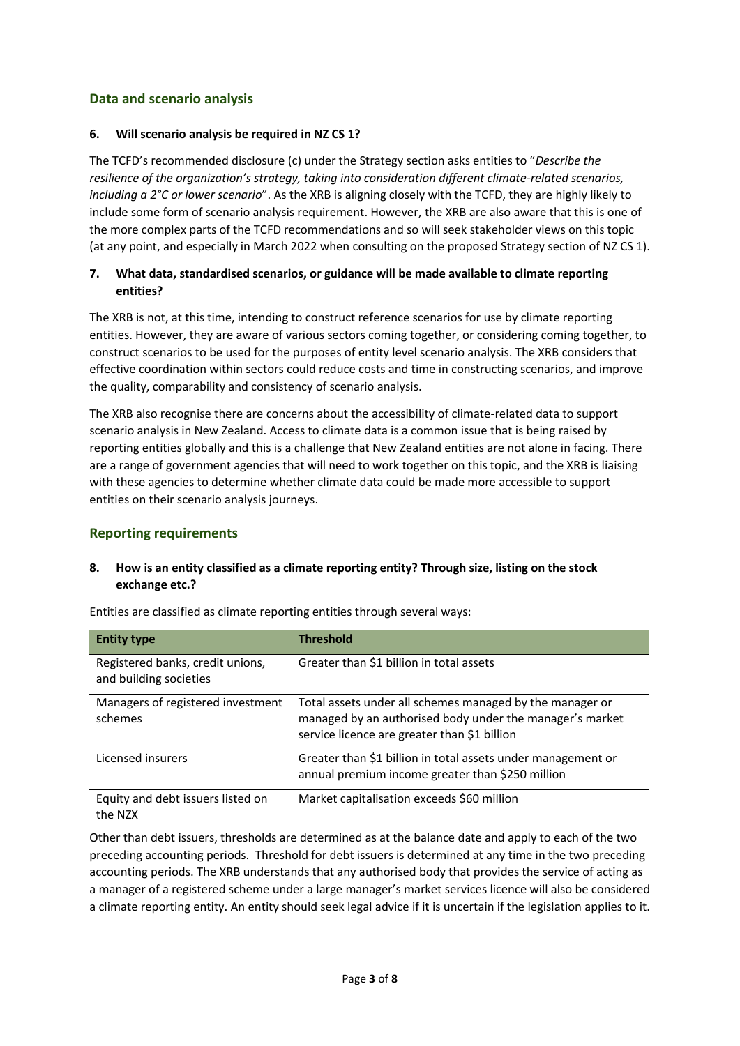# <span id="page-2-0"></span>**Data and scenario analysis**

#### **6. Will scenario analysis be required in NZ CS 1?**

The TCFD's recommended disclosure (c) under the Strategy section asks entities to "*Describe the resilience of the organization's strategy, taking into consideration different climate-related scenarios, including a 2°C or lower scenario*". As the XRB is aligning closely with the TCFD, they are highly likely to include some form of scenario analysis requirement. However, the XRB are also aware that this is one of the more complex parts of the TCFD recommendations and so will seek stakeholder views on this topic (at any point, and especially in March 2022 when consulting on the proposed Strategy section of NZ CS 1).

## **7. What data, standardised scenarios, or guidance will be made available to climate reporting entities?**

The XRB is not, at this time, intending to construct reference scenarios for use by climate reporting entities. However, they are aware of various sectors coming together, or considering coming together, to construct scenarios to be used for the purposes of entity level scenario analysis. The XRB considers that effective coordination within sectors could reduce costs and time in constructing scenarios, and improve the quality, comparability and consistency of scenario analysis.

The XRB also recognise there are concerns about the accessibility of climate-related data to support scenario analysis in New Zealand. Access to climate data is a common issue that is being raised by reporting entities globally and this is a challenge that New Zealand entities are not alone in facing. There are a range of government agencies that will need to work together on this topic, and the XRB is liaising with these agencies to determine whether climate data could be made more accessible to support entities on their scenario analysis journeys.

## <span id="page-2-1"></span>**Reporting requirements**

## **8. How is an entity classified as a climate reporting entity? Through size, listing on the stock exchange etc.?**

| <b>Entity type</b>                                         | <b>Threshold</b>                                                                                                                                                     |
|------------------------------------------------------------|----------------------------------------------------------------------------------------------------------------------------------------------------------------------|
| Registered banks, credit unions,<br>and building societies | Greater than \$1 billion in total assets                                                                                                                             |
| Managers of registered investment<br>schemes               | Total assets under all schemes managed by the manager or<br>managed by an authorised body under the manager's market<br>service licence are greater than \$1 billion |
| Licensed insurers                                          | Greater than \$1 billion in total assets under management or<br>annual premium income greater than \$250 million                                                     |
| Equity and debt issuers listed on<br>the NZX               | Market capitalisation exceeds \$60 million                                                                                                                           |

Entities are classified as climate reporting entities through several ways:

Other than debt issuers, thresholds are determined as at the balance date and apply to each of the two preceding accounting periods. Threshold for debt issuers is determined at any time in the two preceding accounting periods. The XRB understands that any authorised body that provides the service of acting as a manager of a registered scheme under a large manager's market services licence will also be considered a climate reporting entity. An entity should seek legal advice if it is uncertain if the legislation applies to it.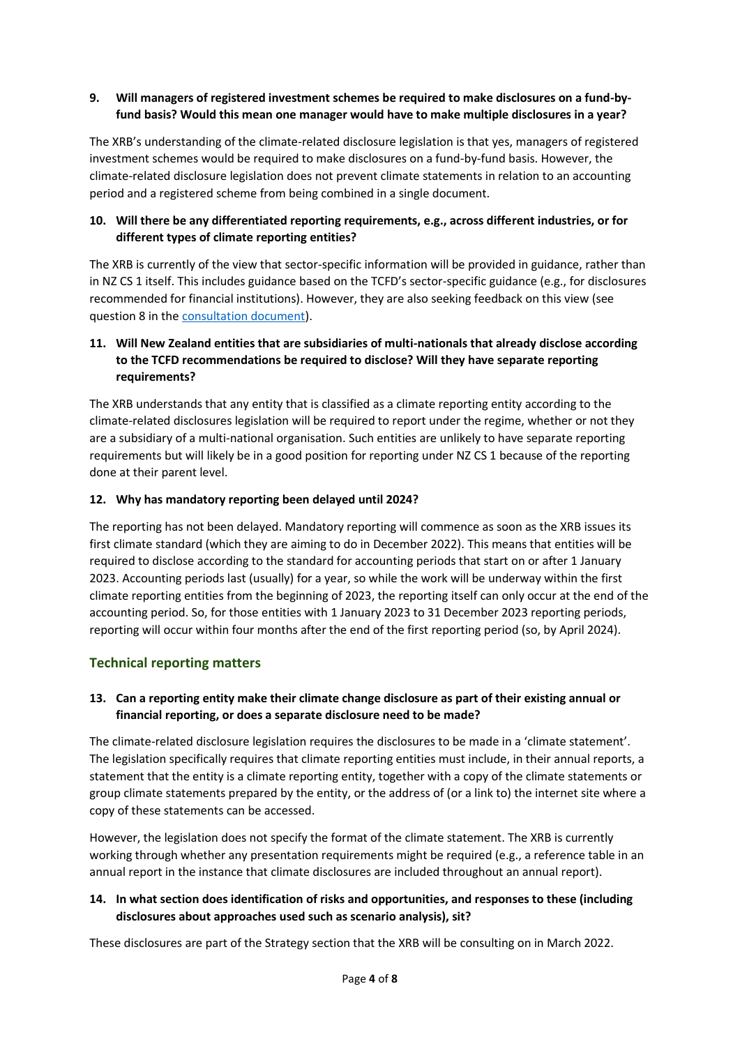## **9. Will managers of registered investment schemes be required to make disclosures on a fund-byfund basis? Would this mean one manager would have to make multiple disclosures in a year?**

The XRB's understanding of the climate-related disclosure legislation is that yes, managers of registered investment schemes would be required to make disclosures on a fund-by-fund basis. However, the climate-related disclosure legislation does not prevent climate statements in relation to an accounting period and a registered scheme from being combined in a single document.

## **10. Will there be any differentiated reporting requirements, e.g., across different industries, or for different types of climate reporting entities?**

The XRB is currently of the view that sector-specific information will be provided in guidance, rather than in NZ CS 1 itself. This includes guidance based on the TCFD's sector-specific guidance (e.g., for disclosures recommended for financial institutions). However, they are also seeking feedback on this view (see question 8 in th[e consultation document\)](https://www.xrb.govt.nz/extended-external-reporting/climate-related-disclosures/consultation-and-engagement/governance-and-risk-management-consultation-document/).

## **11. Will New Zealand entities that are subsidiaries of multi-nationals that already disclose according to the TCFD recommendations be required to disclose? Will they have separate reporting requirements?**

The XRB understands that any entity that is classified as a climate reporting entity according to the climate-related disclosures legislation will be required to report under the regime, whether or not they are a subsidiary of a multi-national organisation. Such entities are unlikely to have separate reporting requirements but will likely be in a good position for reporting under NZ CS 1 because of the reporting done at their parent level.

### **12. Why has mandatory reporting been delayed until 2024?**

The reporting has not been delayed. Mandatory reporting will commence as soon as the XRB issues its first climate standard (which they are aiming to do in December 2022). This means that entities will be required to disclose according to the standard for accounting periods that start on or after 1 January 2023. Accounting periods last (usually) for a year, so while the work will be underway within the first climate reporting entities from the beginning of 2023, the reporting itself can only occur at the end of the accounting period. So, for those entities with 1 January 2023 to 31 December 2023 reporting periods, reporting will occur within four months after the end of the first reporting period (so, by April 2024).

## <span id="page-3-0"></span>**Technical reporting matters**

## **13. Can a reporting entity make their climate change disclosure as part of their existing annual or financial reporting, or does a separate disclosure need to be made?**

The climate-related disclosure legislation requires the disclosures to be made in a 'climate statement'. The legislation specifically requires that climate reporting entities must include, in their annual reports, a statement that the entity is a climate reporting entity, together with a copy of the climate statements or group climate statements prepared by the entity, or the address of (or a link to) the internet site where a copy of these statements can be accessed.

However, the legislation does not specify the format of the climate statement. The XRB is currently working through whether any presentation requirements might be required (e.g., a reference table in an annual report in the instance that climate disclosures are included throughout an annual report).

## **14. In what section does identification of risks and opportunities, and responses to these (including disclosures about approaches used such as scenario analysis), sit?**

These disclosures are part of the Strategy section that the XRB will be consulting on in March 2022.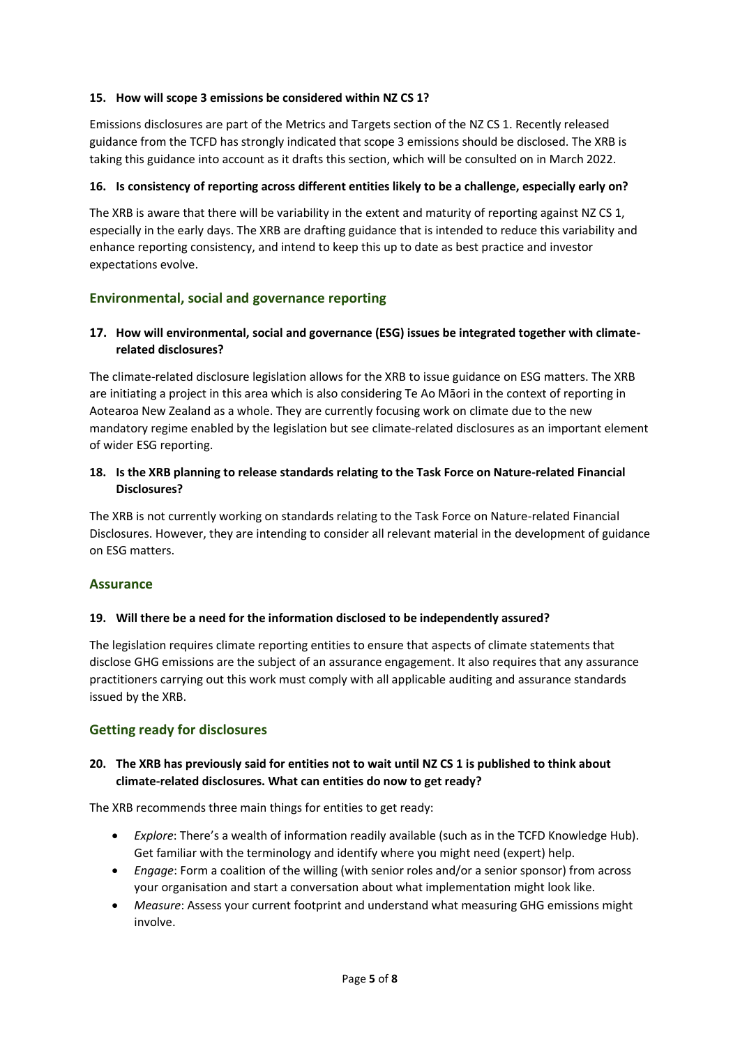## **15. How will scope 3 emissions be considered within NZ CS 1?**

Emissions disclosures are part of the Metrics and Targets section of the NZ CS 1. Recently released guidance from the TCFD has strongly indicated that scope 3 emissions should be disclosed. The XRB is taking this guidance into account as it drafts this section, which will be consulted on in March 2022.

#### **16. Is consistency of reporting across different entities likely to be a challenge, especially early on?**

The XRB is aware that there will be variability in the extent and maturity of reporting against NZ CS 1, especially in the early days. The XRB are drafting guidance that is intended to reduce this variability and enhance reporting consistency, and intend to keep this up to date as best practice and investor expectations evolve.

## <span id="page-4-0"></span>**Environmental, social and governance reporting**

### **17. How will environmental, social and governance (ESG) issues be integrated together with climaterelated disclosures?**

The climate-related disclosure legislation allows for the XRB to issue guidance on ESG matters. The XRB are initiating a project in this area which is also considering Te Ao Māori in the context of reporting in Aotearoa New Zealand as a whole. They are currently focusing work on climate due to the new mandatory regime enabled by the legislation but see climate-related disclosures as an important element of wider ESG reporting.

## **18. Is the XRB planning to release standards relating to the Task Force on Nature-related Financial Disclosures?**

The XRB is not currently working on standards relating to the Task Force on Nature-related Financial Disclosures. However, they are intending to consider all relevant material in the development of guidance on ESG matters.

#### <span id="page-4-1"></span>**Assurance**

#### **19. Will there be a need for the information disclosed to be independently assured?**

The legislation requires climate reporting entities to ensure that aspects of climate statements that disclose GHG emissions are the subject of an assurance engagement. It also requires that any assurance practitioners carrying out this work must comply with all applicable auditing and assurance standards issued by the XRB.

## <span id="page-4-2"></span>**Getting ready for disclosures**

### **20. The XRB has previously said for entities not to wait until NZ CS 1 is published to think about climate-related disclosures. What can entities do now to get ready?**

The XRB recommends three main things for entities to get ready:

- *Explore*: There's a wealth of information readily available (such as in the TCFD Knowledge Hub). Get familiar with the terminology and identify where you might need (expert) help.
- *Engage*: Form a coalition of the willing (with senior roles and/or a senior sponsor) from across your organisation and start a conversation about what implementation might look like.
- *Measure*: Assess your current footprint and understand what measuring GHG emissions might involve.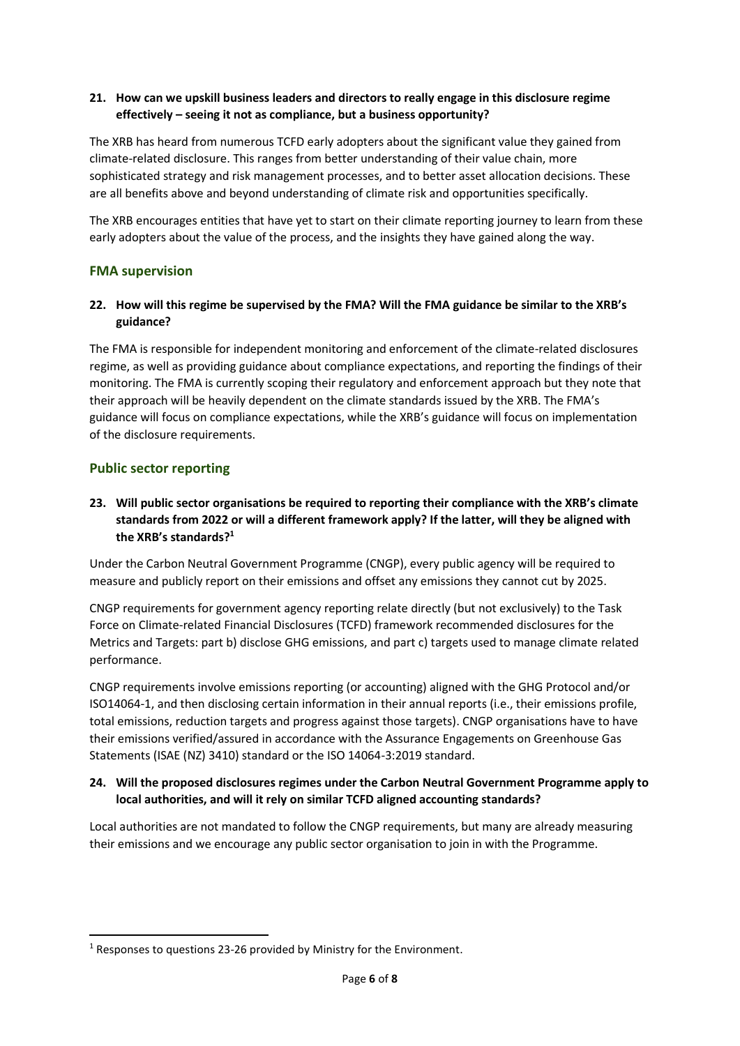## **21. How can we upskill business leaders and directors to really engage in this disclosure regime effectively – seeing it not as compliance, but a business opportunity?**

The XRB has heard from numerous TCFD early adopters about the significant value they gained from climate-related disclosure. This ranges from better understanding of their value chain, more sophisticated strategy and risk management processes, and to better asset allocation decisions. These are all benefits above and beyond understanding of climate risk and opportunities specifically.

The XRB encourages entities that have yet to start on their climate reporting journey to learn from these early adopters about the value of the process, and the insights they have gained along the way.

### <span id="page-5-0"></span>**FMA supervision**

### **22. How will this regime be supervised by the FMA? Will the FMA guidance be similar to the XRB's guidance?**

The FMA is responsible for independent monitoring and enforcement of the climate-related disclosures regime, as well as providing guidance about compliance expectations, and reporting the findings of their monitoring. The FMA is currently scoping their regulatory and enforcement approach but they note that their approach will be heavily dependent on the climate standards issued by the XRB. The FMA's guidance will focus on compliance expectations, while the XRB's guidance will focus on implementation of the disclosure requirements.

### <span id="page-5-1"></span>**Public sector reporting**

## **23. Will public sector organisations be required to reporting their compliance with the XRB's climate standards from 2022 or will a different framework apply? If the latter, will they be aligned with the XRB's standards?<sup>1</sup>**

Under the Carbon Neutral Government Programme (CNGP), every public agency will be required to measure and publicly report on their emissions and offset any emissions they cannot cut by 2025.

CNGP requirements for government agency reporting relate directly (but not exclusively) to the Task Force on Climate-related Financial Disclosures (TCFD) framework recommended disclosures for the Metrics and Targets: part b) disclose GHG emissions, and part c) targets used to manage climate related performance.

CNGP requirements involve emissions reporting (or accounting) aligned with the GHG Protocol and/or ISO14064-1, and then disclosing certain information in their annual reports (i.e., their emissions profile, total emissions, reduction targets and progress against those targets). CNGP organisations have to have their emissions verified/assured in accordance with the Assurance Engagements on Greenhouse Gas Statements (ISAE (NZ) 3410) standard or the ISO 14064-3:2019 standard.

#### **24. Will the proposed disclosures regimes under the Carbon Neutral Government Programme apply to local authorities, and will it rely on similar TCFD aligned accounting standards?**

Local authorities are not mandated to follow the CNGP requirements, but many are already measuring their emissions and we encourage any public sector organisation to join in with the Programme.

<sup>&</sup>lt;sup>1</sup> Responses to questions 23-26 provided by Ministry for the Environment.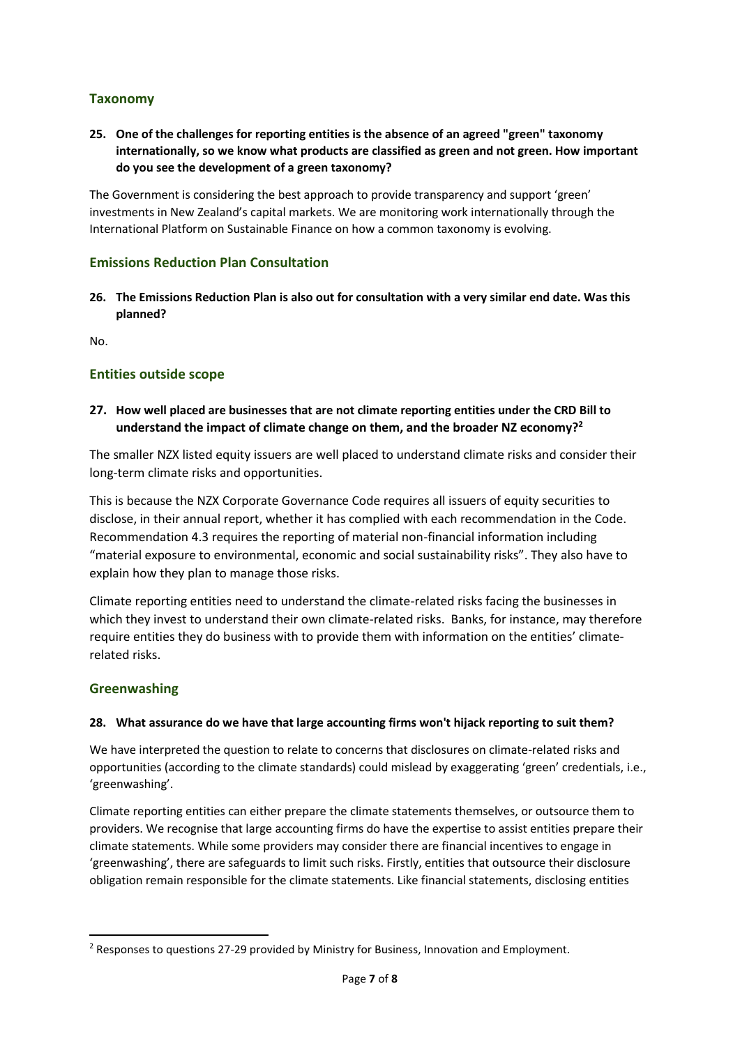# <span id="page-6-0"></span>**Taxonomy**

**25. One of the challenges for reporting entities is the absence of an agreed "green" taxonomy internationally, so we know what products are classified as green and not green. How important do you see the development of a green taxonomy?**

The Government is considering the best approach to provide transparency and support 'green' investments in New Zealand's capital markets. We are monitoring work internationally through the International Platform on Sustainable Finance on how a common taxonomy is evolving.

## <span id="page-6-1"></span>**Emissions Reduction Plan Consultation**

**26. The Emissions Reduction Plan is also out for consultation with a very similar end date. Was this planned?**

No.

### <span id="page-6-2"></span>**Entities outside scope**

## **27. How well placed are businesses that are not climate reporting entities under the CRD Bill to understand the impact of climate change on them, and the broader NZ economy?<sup>2</sup>**

The smaller NZX listed equity issuers are well placed to understand climate risks and consider their long-term climate risks and opportunities.

This is because the NZX Corporate Governance Code requires all issuers of equity securities to disclose, in their annual report, whether it has complied with each recommendation in the Code. Recommendation 4.3 requires the reporting of material non-financial information including "material exposure to environmental, economic and social sustainability risks". They also have to explain how they plan to manage those risks.

Climate reporting entities need to understand the climate-related risks facing the businesses in which they invest to understand their own climate-related risks. Banks, for instance, may therefore require entities they do business with to provide them with information on the entities' climaterelated risks.

#### <span id="page-6-3"></span>**Greenwashing**

#### **28. What assurance do we have that large accounting firms won't hijack reporting to suit them?**

We have interpreted the question to relate to concerns that disclosures on climate-related risks and opportunities (according to the climate standards) could mislead by exaggerating 'green' credentials, i.e., 'greenwashing'.

Climate reporting entities can either prepare the climate statements themselves, or outsource them to providers. We recognise that large accounting firms do have the expertise to assist entities prepare their climate statements. While some providers may consider there are financial incentives to engage in 'greenwashing', there are safeguards to limit such risks. Firstly, entities that outsource their disclosure obligation remain responsible for the climate statements. Like financial statements, disclosing entities

<sup>2</sup> Responses to questions 27-29 provided by Ministry for Business, Innovation and Employment.